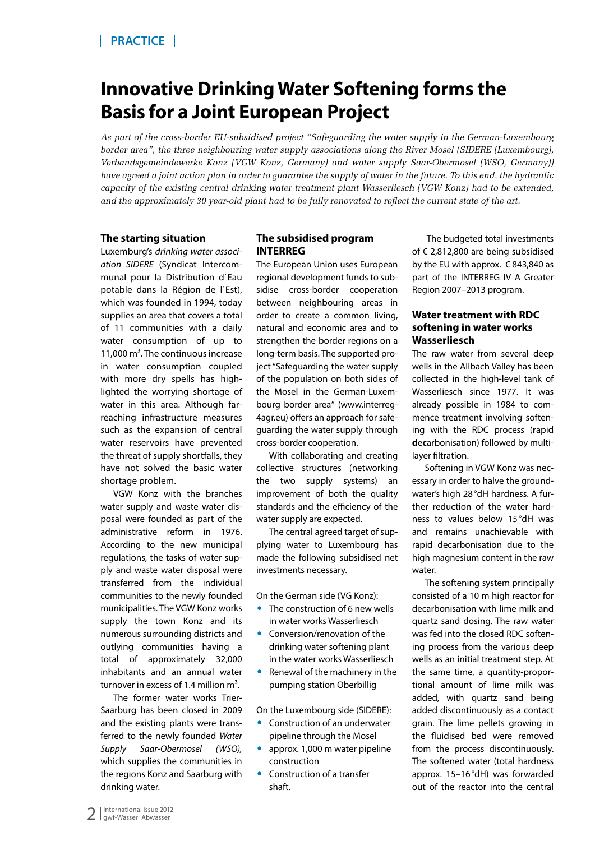# **Innovative Drinking Water Softening forms the Basis for a Joint European Project**

*As part of the cross-border EU-subsidised project "Safeguarding the water supply in the German-Luxembourg border area", the three neighbouring water supply associations along the River Mosel (SIDERE (Luxembourg), Verbandsgemeindewerke Konz (VGW Konz, Germany) and water supply Saar-Obermosel (WSO, Germany)) have agreed a joint action plan in order to guarantee the supply of water in the future. To this end, the hydraulic capacity of the existing central drinking water treatment plant Wasserliesch (VGW Konz) had to be extended, and the approximately 30 year-old plant had to be fully renovated to reflect the current state of the art.* 

#### **The starting situation**

Luxemburg's *drinking water association SIDERE* (Syndicat Intercommunal pour la Distribution d`Eau potable dans la Région de l'Est), which was founded in 1994, today supplies an area that covers a total of 11 communities with a daily water consumption of up to 11,000  $\text{m}^3$ . The continuous increase in water consumption coupled with more dry spells has highlighted the worrying shortage of water in this area. Although farreaching infrastructure measures such as the expansion of central water reservoirs have prevented the threat of supply shortfalls, they have not solved the basic water shortage problem.

VGW Konz with the branches water supply and waste water disposal were founded as part of the administrative reform in 1976. According to the new municipal regulations, the tasks of water supply and waste water disposal were transferred from the individual communities to the newly founded municipalities. The VGW Konz works supply the town Konz and its numerous surrounding districts and outlying communities having a total of approximately 32,000 inhabitants and an annual water turnover in excess of 1.4 million  $m<sup>3</sup>$ .

The former water works Trier-Saarburg has been closed in 2009 and the existing plants were transferred to the newly founded *Water Supply Saar-Obermosel (WSO),* which supplies the communities in the regions Konz and Saarburg with drinking water.

#### **The subsidised program INTERREG**

The European Union uses European regional development funds to subsidise cross-border cooperation between neighbouring areas in order to create a common living, natural and economic area and to strengthen the border regions on a long-term basis. The supported project "Safeguarding the water supply of the population on both sides of the Mosel in the German-Luxembourg border area" (www.interreg-4agr.eu) offers an approach for safeguarding the water supply through cross-border cooperation.

With collaborating and creating collective structures (networking the two supply systems) an improvement of both the quality standards and the efficiency of the water supply are expected.

The central agreed target of supplying water to Luxembourg has made the following subsidised net investments necessary.

On the German side (VG Konz):

- $\bullet$  The construction of 6 new wells in water works Wasserliesch
- Conversion/renovation of the drinking water softening plant in the water works Wasserliesch
- Renewal of the machinery in the pumping station Oberbillig

On the Luxembourg side (SIDERE):

- Construction of an underwater pipeline through the Mosel
- approx. 1,000 m water pipeline construction
- Construction of a transfer shaft.

 The budgeted total investments of € 2,812,800 are being subsidised by the EU with approx.  $\in$  843,840 as part of the INTERREG IV A Greater Region 2007–2013 program.

#### **Water treatment with RDC softening in water works Wasserliesch**

The raw water from several deep wells in the Allbach Valley has been collected in the high-level tank of Wasserliesch since 1977. It was already possible in 1984 to commence treatment involving softening with the RDC process (**r**apid **d**e**c**arbonisation) followed by multilayer filtration.

Softening in VGW Konz was necessary in order to halve the groundwater's high 28°dH hardness. A further reduction of the water hardness to values below 15°dH was and remains unachievable with rapid decarbonisation due to the high magnesium content in the raw water.

The softening system principally consisted of a 10 m high reactor for decarbonisation with lime milk and quartz sand dosing. The raw water was fed into the closed RDC softening process from the various deep wells as an initial treatment step. At the same time, a quantity-proportional amount of lime milk was added, with quartz sand being added discontinuously as a contact grain. The lime pellets growing in the fluidised bed were removed from the process discontinuously. The softened water (total hardness approx. 15–16°dH) was forwarded out of the reactor into the central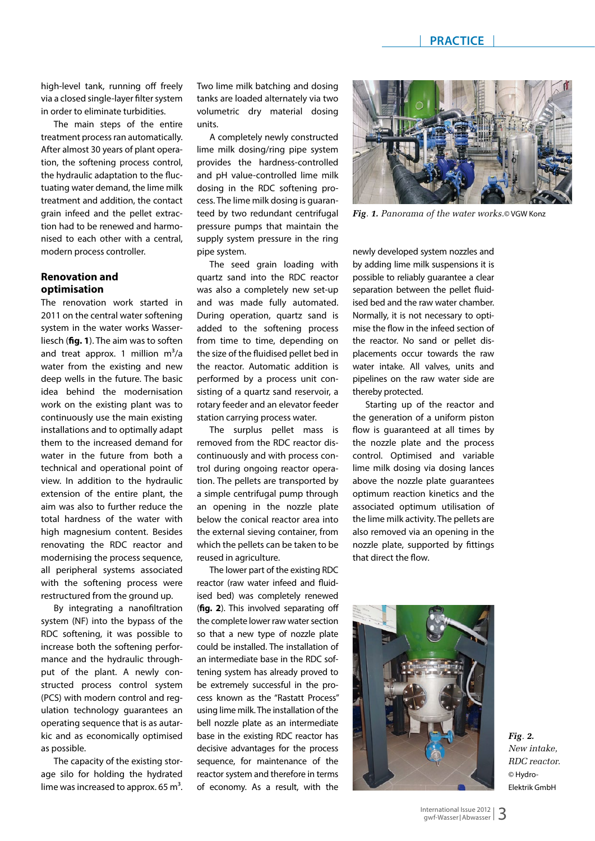high-level tank, running off freely via a closed single-layer filter system in order to eliminate turbidities.

The main steps of the entire treatment process ran automatically. After almost 30 years of plant operation, the softening process control, the hydraulic adaptation to the fluctuating water demand, the lime milk treatment and addition, the contact grain infeed and the pellet extraction had to be renewed and harmonised to each other with a central, modern process controller.

### **Renovation and optimisation**

The renovation work started in 2011 on the central water softening system in the water works Wasserliesch (**fig. 1**). The aim was to soften and treat approx. 1 million  $m^3/a$ water from the existing and new deep wells in the future. The basic idea behind the modernisation work on the existing plant was to continuously use the main existing installations and to optimally adapt them to the increased demand for water in the future from both a technical and operational point of view. In addition to the hydraulic extension of the entire plant, the aim was also to further reduce the total hardness of the water with high magnesium content. Besides renovating the RDC reactor and modernising the process sequence, all peripheral systems associated with the softening process were restructured from the ground up.

By integrating a nanofiltration system (NF) into the bypass of the RDC softening, it was possible to increase both the softening performance and the hydraulic throughput of the plant. A newly constructed process control system (PCS) with modern control and regulation technology guarantees an operating sequence that is as autarkic and as economically optimised as possible.

The capacity of the existing storage silo for holding the hydrated lime was increased to approx. 65  $m<sup>3</sup>$ .

Two lime milk batching and dosing tanks are loaded alternately via two volumetric dry material dosing units.

A completely newly constructed lime milk dosing/ring pipe system provides the hardness-controlled and pH value-controlled lime milk dosing in the RDC softening process. The lime milk dosing is guaranteed by two redundant centrifugal pressure pumps that maintain the supply system pressure in the ring pipe system.

The seed grain loading with quartz sand into the RDC reactor was also a completely new set-up and was made fully automated. During operation, quartz sand is added to the softening process from time to time, depending on the size of the fluidised pellet bed in the reactor. Automatic addition is performed by a process unit consisting of a quartz sand reservoir, a rotary feeder and an elevator feeder station carrying process water.

The surplus pellet mass is removed from the RDC reactor discontinuously and with process control during ongoing reactor operation. The pellets are transported by a simple centrifugal pump through an opening in the nozzle plate below the conical reactor area into the external sieving container, from which the pellets can be taken to be reused in agriculture.

The lower part of the existing RDC reactor (raw water infeed and fluidised bed) was completely renewed (**fig. 2**). This involved separating off the complete lower raw water section so that a new type of nozzle plate could be installed. The installation of an intermediate base in the RDC softening system has already proved to be extremely successful in the process known as the "Rastatt Process" using lime milk. The installation of the bell nozzle plate as an intermediate base in the existing RDC reactor has decisive advantages for the process sequence, for maintenance of the reactor system and therefore in terms of economy. As a result, with the



*Fig. 1. Panorama of the water works.*© VGW Konz

newly developed system nozzles and by adding lime milk suspensions it is possible to reliably guarantee a clear separation between the pellet fluidised bed and the raw water chamber. Normally, it is not necessary to optimise the flow in the infeed section of the reactor. No sand or pellet displacements occur towards the raw water intake. All valves, units and pipelines on the raw water side are thereby protected.

Starting up of the reactor and the generation of a uniform piston flow is guaranteed at all times by the nozzle plate and the process control. Optimised and variable lime milk dosing via dosing lances above the nozzle plate guarantees optimum reaction kinetics and the associated optimum utilisation of the lime milk activity. The pellets are also removed via an opening in the nozzle plate, supported by fittings that direct the flow.



*Fig. 2. New intake, RDC reactor.*  © Hydro-Elektrik GmbH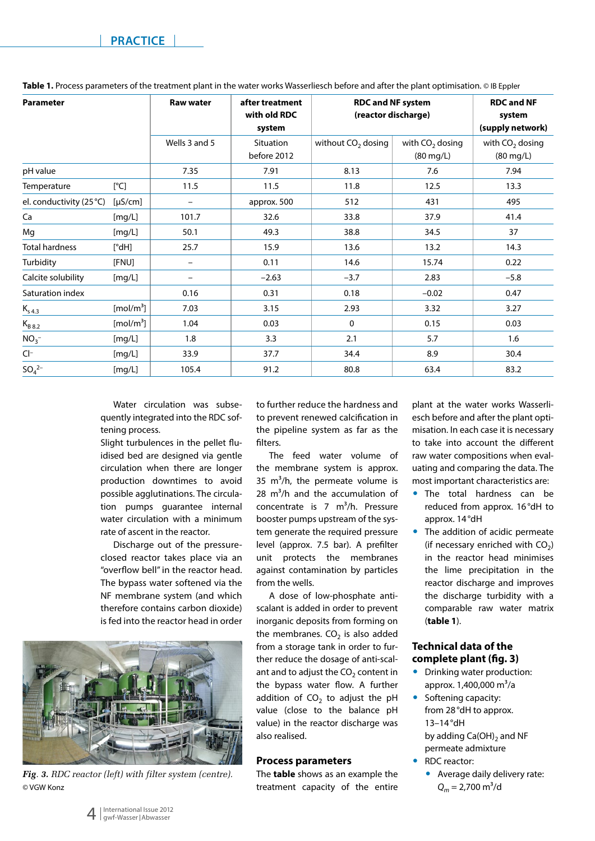| <b>Parameter</b>         |                       | <b>Raw water</b>         | after treatment<br>with old RDC<br>system | <b>RDC and NF system</b><br>(reactor discharge) |                                | <b>RDC and NF</b><br>system<br>(supply network) |
|--------------------------|-----------------------|--------------------------|-------------------------------------------|-------------------------------------------------|--------------------------------|-------------------------------------------------|
|                          |                       | Wells 3 and 5            | <b>Situation</b><br>before 2012           | without $CO2$ dosing                            | with $CO2$ dosing<br>(80 mg/L) | with $CO2$ dosing<br>$(80 \text{ mg/L})$        |
| pH value                 |                       | 7.35                     | 7.91                                      | 8.13                                            | 7.6                            | 7.94                                            |
| Temperature              | [°C]                  | 11.5                     | 11.5                                      | 11.8                                            | 12.5                           | 13.3                                            |
| el. conductivity (25 °C) | $[\mu S/cm]$          |                          | approx. 500                               | 512                                             | 431                            | 495                                             |
| Ca                       | [mg/L]                | 101.7                    | 32.6                                      | 33.8                                            | 37.9                           | 41.4                                            |
| Mg                       | [mg/L]                | 50.1                     | 49.3                                      | 38.8                                            | 34.5                           | 37                                              |
| <b>Total hardness</b>    | $[^{\circ}$ dH]       | 25.7                     | 15.9                                      | 13.6                                            | 13.2                           | 14.3                                            |
| Turbidity                | [FNU]                 | $\overline{\phantom{0}}$ | 0.11                                      | 14.6                                            | 15.74                          | 0.22                                            |
| Calcite solubility       | [mg/L]                |                          | $-2.63$                                   | $-3.7$                                          | 2.83                           | $-5.8$                                          |
| Saturation index         |                       | 0.16                     | 0.31                                      | 0.18                                            | $-0.02$                        | 0.47                                            |
| $K_{s4.3}$               | [mol/m <sup>3</sup> ] | 7.03                     | 3.15                                      | 2.93                                            | 3.32                           | 3.27                                            |
| $K_{B\,8.2}$             | [mol/m <sup>3</sup> ] | 1.04                     | 0.03                                      | $\mathbf 0$                                     | 0.15                           | 0.03                                            |
| NO <sub>3</sub>          | [mg/L]                | 1.8                      | 3.3                                       | 2.1                                             | 5.7                            | 1.6                                             |
| $Cl^-$                   | [mg/L]                | 33.9                     | 37.7                                      | 34.4                                            | 8.9                            | 30.4                                            |
| $SO_4^{2-}$              | [mg/L]                | 105.4                    | 91.2                                      | 80.8                                            | 63.4                           | 83.2                                            |

**Table 1.** Process parameters of the treatment plant in the water works Wasserliesch before and after the plant optimisation. © IB Eppler

Water circulation was subsequently integrated into the RDC softening process.

Slight turbulences in the pellet fluidised bed are designed via gentle circulation when there are longer production downtimes to avoid possible agglutinations. The circulation pumps guarantee internal water circulation with a minimum rate of ascent in the reactor.

Discharge out of the pressureclosed reactor takes place via an "overflow bell" in the reactor head. The bypass water softened via the NF membrane system (and which therefore contains carbon dioxide) is fed into the reactor head in order



*Fig. 3. RDC reactor (left) with filter system (centre).*  © VGW Konz

to further reduce the hardness and to prevent renewed calcification in the pipeline system as far as the filters.

The feed water volume of the membrane system is approx. 35  $m^3/h$ , the permeate volume is 28  $m^3/h$  and the accumulation of concentrate is  $7 \text{ m}^3/h$ . Pressure booster pumps upstream of the system generate the required pressure level (approx. 7.5 bar). A prefilter unit protects the membranes against contamination by particles from the wells.

A dose of low-phosphate antiscalant is added in order to prevent inorganic deposits from forming on the membranes.  $CO<sub>2</sub>$  is also added from a storage tank in order to further reduce the dosage of anti-scalant and to adjust the  $CO<sub>2</sub>$  content in the bypass water flow. A further addition of  $CO<sub>2</sub>$  to adjust the pH value (close to the balance pH value) in the reactor discharge was also realised.

#### **Process parameters**

The **table** shows as an example the treatment capacity of the entire

plant at the water works Wasserliesch before and after the plant optimisation. In each case it is necessary to take into account the different raw water compositions when evaluating and comparing the data. The most important characteristics are:

- The total hardness can be reduced from approx. 16°dH to approx. 14°dH
- The addition of acidic permeate (if necessary enriched with  $CO<sub>2</sub>$ ) in the reactor head minimises the lime precipitation in the reactor discharge and improves the discharge turbidity with a comparable raw water matrix (**table 1**).

#### **Technical data of the complete plant (fig. 3)**

- Drinking water production: approx.  $1,400,000 \text{ m}^3/\text{a}$
- Softening capacity: from 28°dH to approx. 13–14°dH by adding  $Ca(OH)_2$  and NF permeate admixture
- RDC reactor:
	- Average daily delivery rate:  $Q_m = 2,700 \text{ m}^3/\text{d}$